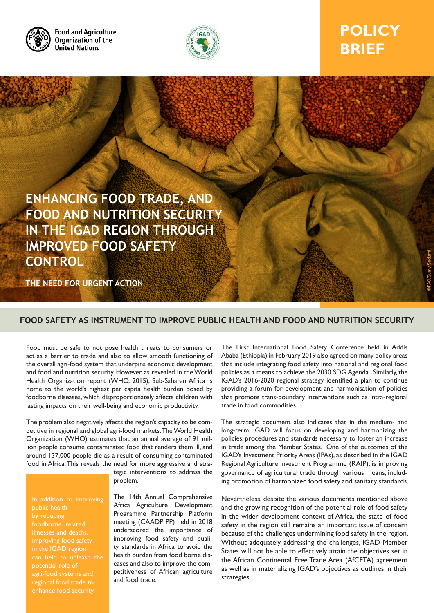

**Food and Agriculture** Organization of the **United Nations** 



# **POLICY BRIEF**



## **FOOD SAFETY AS INSTRUMENT TO IMPROVE PUBLIC HEALTH AND FOOD AND NUTRITION SECURITY**

Food must be safe to not pose health threats to consumers or act as a barrier to trade and also to allow smooth functioning of the overall agri-food system that underpins economic development and food and nutrition security. However, as revealed in the World Health Organization report (WHO, 2015), Sub-Saharan Africa is home to the world's highest per capita health burden posed by foodborne diseases, which disproportionately affects children with lasting impacts on their well-being and economic productivity.

The problem also negatively affects the region's capacity to be competitive in regional and global agri-food markets. The World Health Organization (WHO) estimates that an annual average of 91 million people consume contaminated food that renders them ill, and around 137,000 people die as a result of consuming contaminated food in Africa. This reveals the need for more aggressive and stra-

In addition to improving by reducing improving food safety in the IGAD region can help to unleash the potential role of agri-food systems and regional food trade to enhance food security

tegic interventions to address the problem.

The 14th Annual Comprehensive Africa Agriculture Development Programme Partnership Platform meeting (CAADP PP) held in 2018 underscored the importance of improving food safety and quality standards in Africa to avoid the health burden from food borne diseases and also to improve the competitiveness of African agriculture and food trade.

The First International Food Safety Conference held in Addis Ababa (Ethiopia) in February 2019 also agreed on many policy areas that include integrating food safety into national and regional food policies as a means to achieve the 2030 SDG Agenda. Similarly, the IGAD's 2016-2020 regional strategy identified a plan to continue providing a forum for development and harmonisation of policies that promote trans-boundary interventions such as intra-regional trade in food commodities.

The strategic document also indicates that in the medium- and long-term, IGAD will focus on developing and harmonizing the policies, procedures and standards necessary to foster an increase in trade among the Member States. One of the outcomes of the IGAD's Investment Priority Areas (IPAs), as described in the IGAD Regional Agriculture Investment Programme (RAIP), is improving governance of agricultural trade through various means, including promotion of harmonized food safety and sanitary standards.

Nevertheless, despite the various documents mentioned above and the growing recognition of the potential role of food safety in the wider development context of Africa, the state of food safety in the region still remains an important issue of concern because of the challenges undermining food safety in the region. Without adequately addressing the challenges, IGAD Member States will not be able to effectively attain the objectives set in the African Continental Free Trade Area (AfCFTA) agreement as well as in materializing IGAD's objectives as outlines in their strategies.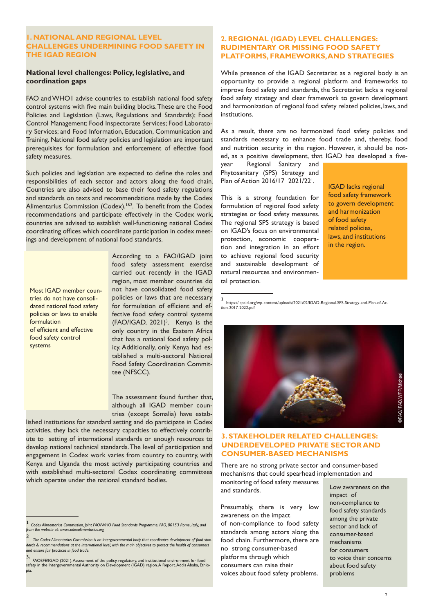#### **1. NATIONAL AND REGIONAL LEVEL CHALLENGES UNDERMINING FOOD SAFETY IN THE IGAD REGION**

#### **National level challenges: Policy, legislative, and coordination gaps**

FAO and WHO1 advise countries to establish national food safety control systems with five main building blocks. These are the Food Policies and Legislation (Laws, Regulations and Standards); Food Control Management; Food Inspectorate Services; Food Laboratory Services; and Food Information, Education, Communication and Training. National food safety policies and legislation are important prerequisites for formulation and enforcement of effective food safety measures.

Such policies and legislation are expected to define the roles and responsibilities of each sector and actors along the food chain. Countries are also advised to base their food safety regulations and standards on texts and recommendations made by the Codex Alimentarius Commission (Codex).<sup>182</sup>. To benefit from the Codex recommendations and participate effectively in the Codex work, countries are advised to establish well-functioning national Codex coordinating offices which coordinate participation in codex meetings and development of national food standards.

Most IGAD member countries do not have consolidated national food safety policies or laws to enable formulation of efficient and effective food safety control systems

According to a FAO/IGAD joint food safety assessment exercise carried out recently in the IGAD region, most member countries do not have consolidated food safety policies or laws that are necessary for formulation of efficient and effective food safety control systems  $(FAO/IGAD, 2021)<sup>3</sup>$ . Kenya is the only country in the Eastern Africa that has a national food safety policy. Additionally, only Kenya had established a multi-sectoral National Food Safety Coordination Committee (NFSCC).

The assessment found further that, although all IGAD member countries (except Somalia) have estab-

lished institutions for standard setting and do participate in Codex activities, they lack the necessary capacities to effectively contribute to setting of international standards or enough resources to develop national technical standards. The level of participation and engagement in Codex work varies from country to country, with Kenya and Uganda the most actively participating countries and with established multi-sectoral Codex coordinating committees which operate under the national standard bodies.

### **2. REGIONAL (IGAD) LEVEL CHALLENGES: RUDIMENTARY OR MISSING FOOD SAFETY PLATFORMS, FRAMEWORKS, AND STRATEGIES**

While presence of the IGAD Secretariat as a regional body is an opportunity to provide a regional platform and frameworks to improve food safety and standards, the Secretariat lacks a regional food safety strategy and clear framework to govern development and harmonization of regional food safety related policies, laws, and institutions.

As a result, there are no harmonized food safety policies and standards necessary to enhance food trade and, thereby, food and nutrition security in the region. However, it should be noted, as a positive development, that IGAD has developed a five-

year Regional Sanitary and Phytosanitary (SPS) Strategy and Plan of Action 2016/17 2021/22<sup>1</sup>.

This is a strong foundation for formulation of regional food safety strategies or food safety measures. The regional SPS strategy is based on IGAD's focus on environmental protection, economic cooperation and integration in an effort to achieve regional food security and sustainable development of natural resources and environmental protection.

IGAD lacks regional food safety framework to govern development and harmonization of food safety related policies, laws, and institutions in the region.

1 https://icpald.org/wp-content/uploads/2021/02/IGAD-Regional-SPS-Strategy-and-Plan-of-Action-2017-2022.pdf



#### **3. STAKEHOLDER RELATED CHALLENGES: UNDERDEVELOPED PRIVATE SECTOR AND CONSUMER-BASED MECHANISMS**

There are no strong private sector and consumer-based mechanisms that could spearhead implementation and monitoring of food safety measures and standards. Low awareness on the

Presumably, there is very low awareness on the impact of non-compliance to food safety standards among actors along the food chain. Furthermore, there are no strong consumer-based platforms through which consumers can raise their voices about food safety problems.

impact of non-compliance to food safety standards among the private sector and lack of consumer-based mechanisms for consumers to voice their concerns about food safety problems

<sup>1</sup> *Codex Alimentarius Commission, Joint FAO/WHO Food Standards Programme, FAO, 00153 Rome, Italy, and from the website at: www.codexalimentarius.org*

<sup>-&</sup>lt;br>The Codex Alimentarius Commission is an intergovernmental body that coordinates development of food stan-<br>dards & recommendations at the international level, with the main objectives to protect the health of consumers *and ensure fair practices in food trade.* 

<sup>3&</sup>lt;br>safety in the Intergovernmental Authority on Development (IGAD) region. A Report. Addis Ababa, Ethio-<br>safety in the Intergovernmental Authority on Development (IGAD) region. A Report. Addis Ababa, Ethiopia.